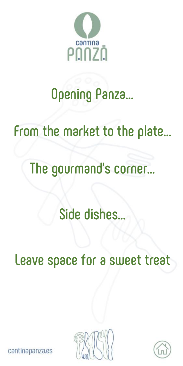

# **[Opening Panza…](#page-1-0)**

# **[From the market to the plate…](#page-3-0)**

# **[The gourmand's corner…](#page-4-0)**

# **[Side dishes…](#page-5-0)**

**[Leave space for a sweet treat](#page-6-0)**





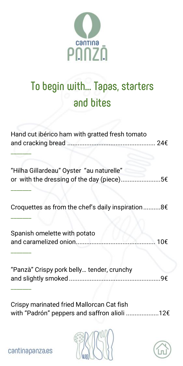

### <span id="page-1-0"></span>To begin with... Tapas, starters and bites

| Hand cut ibérico ham with gratted fresh tomato                                        |
|---------------------------------------------------------------------------------------|
| "Hilha Gillardeau" Oyster "au naturelle"<br>or with the dressing of the day (piece)5€ |
| Croquettes as from the chef's daily inspiration8€                                     |
| Spanish omelette with potato<br>…. 10€                                                |
| "Panzà" Crispy pork belly tender, crunchy<br>٩€                                       |

Crispy marinated fried Mallorcan Cat fish with "Padrón" peppers and saffron alioli ....................12€



cantinapanza.es

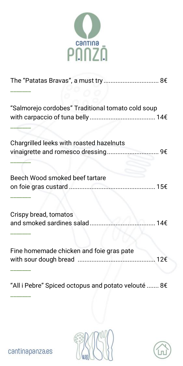

| "Salmorejo cordobes" Traditional tomato cold soup |
|---------------------------------------------------|
|                                                   |
|                                                   |
| ………… 14€                                          |
| 12€                                               |
|                                                   |

"All i Pebre" Spiced octopus and potato velouté ....... 8€



cantinapanza.es

\_\_\_\_\_\_\_

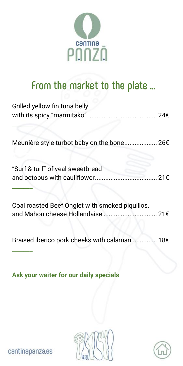

### <span id="page-3-0"></span>From the market to the plate ...

| Grilled yellow fin tuna belly                   |  |
|-------------------------------------------------|--|
| Meunière style turbot baby on the bone 26€      |  |
| "Surf & turf" of yeal sweetbread                |  |
| Coal roasted Beef Onglet with smoked piquillos, |  |

Braised iberico pork cheeks with calamari 18€

Ask your waiter for our daily specials



cantinapanza.es

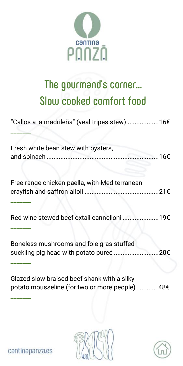

### <span id="page-4-0"></span>**The gourmand's corner… Slow cooked comfort food**

| "Callos a la madrileña" (veal tripes stew) 16€                                                |  |
|-----------------------------------------------------------------------------------------------|--|
| Fresh white bean stew with oysters,                                                           |  |
| Free-range chicken paella, with Mediterranean                                                 |  |
| Red wine stewed beef oxtail cannelloni 19€                                                    |  |
| Boneless mushrooms and foie gras stuffed<br>suckling pig head with potato pureé 20€           |  |
| Glazed slow braised beef shank with a silky<br>potato mousseline (for two or more people) 48€ |  |



cantinapanza.es

\_\_\_\_\_\_\_

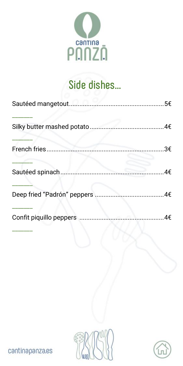

#### Side dishes...

<span id="page-5-0"></span>

| Sautéed mangetout            |                |
|------------------------------|----------------|
| Silky butter mashed potato.  |                |
| French fries                 | 3€             |
| Sautéed spinach              | 4€             |
| Deep fried "Padrón" peppers. | ………………………………4€ |
| Confit piquillo peppers.     | 4€             |





cantinapanza.es